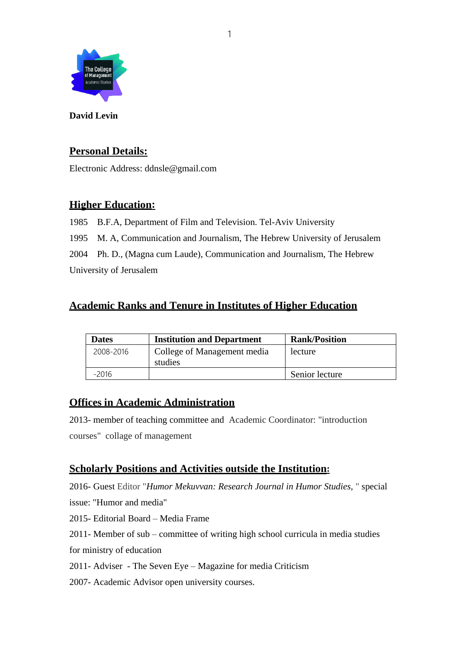

**David Levin**

## **Personal Details:**

Electronic Address: ddnsle@gmail.com

## **Higher Education:**

 B.F.A, Department of Film and Television. Tel-Aviv University M. A, Communication and Journalism, The Hebrew University of Jerusalem Ph. D., (Magna cum Laude), Communication and Journalism, The Hebrew University of Jerusalem

## **Academic Ranks and Tenure in Institutes of Higher Education**

| <b>Dates</b> | <b>Institution and Department</b>      | <b>Rank/Position</b> |
|--------------|----------------------------------------|----------------------|
| 2008-2016    | College of Management media<br>studies | lecture              |
| $-2016$      |                                        | Senior lecture       |

## **Offices in Academic Administration**

2013- member of teaching committee and Academic Coordinator: "introduction courses" collage of management

## **Scholarly Positions and Activities outside the Institution:**

2016- Guest Editor "*Humor Mekuvvan: Research Journal in Humor Studies,* " special issue: "Humor and media"

2015- Editorial Board – Media Frame

2011- Member of sub – committee of writing high school curricula in media studies for ministry of education

2011- Adviser - The Seven Eye – Magazine for media Criticism

2007- Academic Advisor open university courses.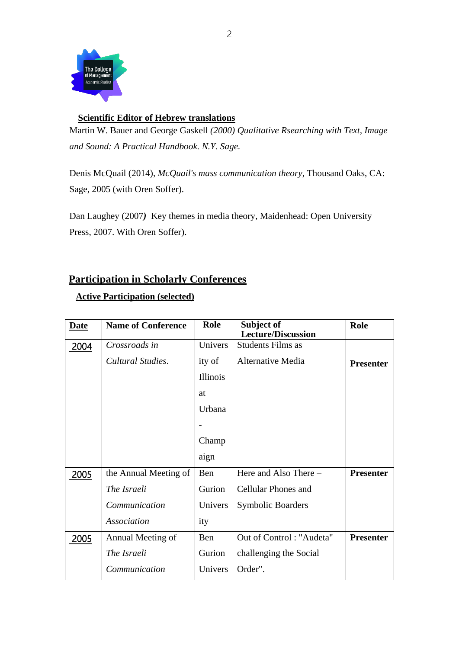

### **Scientific Editor of Hebrew translations**

Martin W. Bauer and George Gaskell *(2000) Qualitative Rsearching with Text, Image and Sound: A Practical Handbook. N.Y. Sage.*

Denis McQuail (2014), *McQuail's mass communication theory*, Thousand Oaks, CA: Sage, 2005 (with Oren Soffer).

Dan Laughey (2007*)* Key themes in media theory*,* Maidenhead: Open University Press, 2007. With Oren Soffer).

## **Participation in Scholarly Conferences**

### **Active Participation (selected)**

| <b>Date</b> | <b>Name of Conference</b> | <b>Role</b> | Subject of<br><b>Lecture/Discussion</b> | Role             |
|-------------|---------------------------|-------------|-----------------------------------------|------------------|
| 2004        | Crossroads in             | Univers     | <b>Students Films as</b>                |                  |
|             | Cultural Studies.         | ity of      | Alternative Media                       | <b>Presenter</b> |
|             |                           | Illinois    |                                         |                  |
|             |                           | at          |                                         |                  |
|             |                           | Urbana      |                                         |                  |
|             |                           |             |                                         |                  |
|             |                           | Champ       |                                         |                  |
|             |                           | aign        |                                         |                  |
| 2005        | the Annual Meeting of     | Ben         | Here and Also There -                   | <b>Presenter</b> |
|             | The Israeli               | Gurion      | <b>Cellular Phones and</b>              |                  |
|             | Communication             | Univers     | <b>Symbolic Boarders</b>                |                  |
|             | <b>Association</b>        | ity         |                                         |                  |
| 2005        | Annual Meeting of         | Ben         | Out of Control: "Audeta"                | <b>Presenter</b> |
|             | The Israeli               | Gurion      | challenging the Social                  |                  |
|             | Communication             | Univers     | Order".                                 |                  |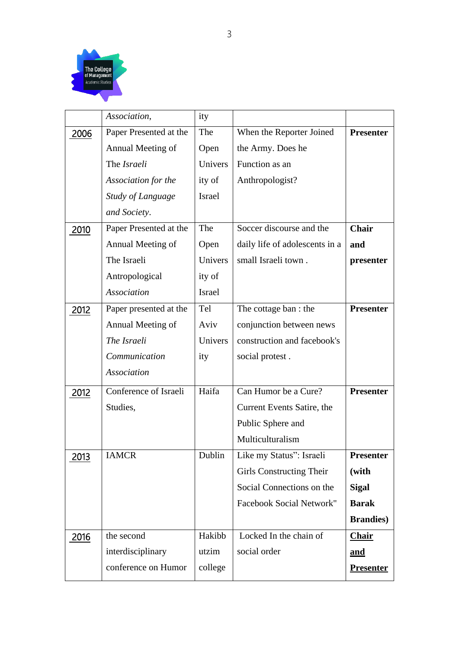

|      | Association,             | ity           |                                 |                   |
|------|--------------------------|---------------|---------------------------------|-------------------|
| 2006 | Paper Presented at the   | The           | When the Reporter Joined        | <b>Presenter</b>  |
|      | Annual Meeting of        | Open          | the Army. Does he               |                   |
|      | The Israeli              | Univers       | Function as an                  |                   |
|      | Association for the      | ity of        | Anthropologist?                 |                   |
|      | <b>Study of Language</b> | <b>Israel</b> |                                 |                   |
|      | and Society.             |               |                                 |                   |
| 2010 | Paper Presented at the   | The           | Soccer discourse and the        | Chair             |
|      | Annual Meeting of        | Open          | daily life of adolescents in a  | and               |
|      | The Israeli              | Univers       | small Israeli town.             | presenter         |
|      | Antropological           | ity of        |                                 |                   |
|      | Association              | Israel        |                                 |                   |
| 2012 | Paper presented at the   | Tel           | The cottage ban : the           | <b>Presenter</b>  |
|      | Annual Meeting of        | Aviv          | conjunction between news        |                   |
|      | The Israeli              | Univers       | construction and facebook's     |                   |
|      | Communication            | ity           | social protest.                 |                   |
|      | Association              |               |                                 |                   |
| 2012 | Conference of Israeli    | Haifa         | Can Humor be a Cure?            | <b>Presenter</b>  |
|      | Studies,                 |               | Current Events Satire, the      |                   |
|      |                          |               | Public Sphere and               |                   |
|      |                          |               | Multiculturalism                |                   |
| 2013 | <b>IAMCR</b>             | Dublin        | Like my Status": Israeli        | Presenter         |
|      |                          |               | <b>Girls Constructing Their</b> | (with             |
|      |                          |               | Social Connections on the       | <b>Sigal</b>      |
|      |                          |               | Facebook Social Network"        | <b>Barak</b>      |
|      |                          |               |                                 | <b>Brandies</b> ) |
| 2016 | the second               | Hakibb        | Locked In the chain of          | <b>Chair</b>      |
|      | interdisciplinary        | utzim         | social order                    | and               |
|      | conference on Humor      | college       |                                 | <b>Presenter</b>  |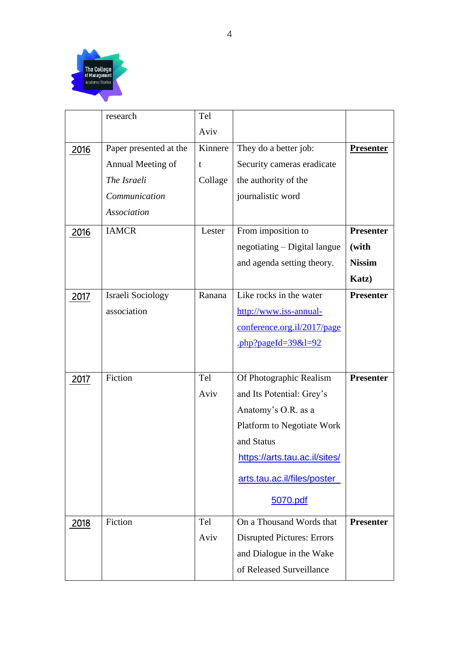

|      | research               | Tel     |                                                                                                   |                  |
|------|------------------------|---------|---------------------------------------------------------------------------------------------------|------------------|
|      |                        | Aviv    |                                                                                                   |                  |
| 2016 | Paper presented at the | Kinnere | They do a better job:                                                                             | <b>Presenter</b> |
|      | Annual Meeting of      | t       | Security cameras eradicate                                                                        |                  |
|      | The Israeli            | Collage | the authority of the                                                                              |                  |
|      | Communication          |         | journalistic word                                                                                 |                  |
|      | Association            |         |                                                                                                   |                  |
| 2016 | <b>IAMCR</b>           | Lester  | From imposition to                                                                                | <b>Presenter</b> |
|      |                        |         | negotiating – Digital langue                                                                      | (with            |
|      |                        |         | and agenda setting theory.                                                                        | <b>Nissim</b>    |
|      |                        |         |                                                                                                   | Katz)            |
| 2017 | Israeli Sociology      | Ranana  | Like rocks in the water                                                                           | <b>Presenter</b> |
|      | association            |         | http://www.iss-annual-                                                                            |                  |
|      |                        |         | conference.org.il/2017/page                                                                       |                  |
|      |                        |         | $\frac{\text{php}}{\text{p}}$ and $\frac{\text{php}}{\text{p}}$ and $\frac{\text{php}}{\text{p}}$ |                  |
|      |                        |         |                                                                                                   |                  |
| 2017 | Fiction                | Tel     | Of Photographic Realism                                                                           | <b>Presenter</b> |
|      |                        | Aviv    | and Its Potential: Grey's                                                                         |                  |
|      |                        |         | Anatomy's O.R. as a                                                                               |                  |
|      |                        |         | Platform to Negotiate Work                                                                        |                  |
|      |                        |         | and Status                                                                                        |                  |
|      |                        |         | https://arts.tau.ac.il/sites/                                                                     |                  |
|      |                        |         | arts.tau.ac.il/files/poster                                                                       |                  |
|      |                        |         | 5070.pdf                                                                                          |                  |
| 2018 | Fiction                | Tel     | On a Thousand Words that                                                                          | <b>Presenter</b> |
|      |                        | Aviv    | <b>Disrupted Pictures: Errors</b>                                                                 |                  |
|      |                        |         | and Dialogue in the Wake                                                                          |                  |
|      |                        |         | of Released Surveillance                                                                          |                  |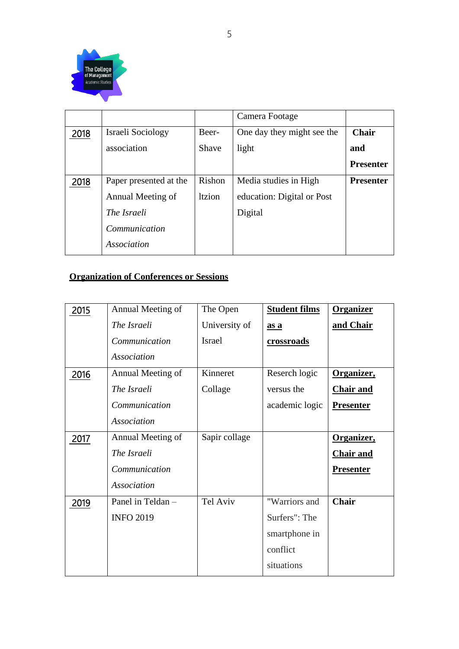

|      |                        |               | Camera Footage             |                  |
|------|------------------------|---------------|----------------------------|------------------|
| 2018 | Israeli Sociology      | Beer-         | One day they might see the | <b>Chair</b>     |
|      | association            | Shave         | light                      | and              |
|      |                        |               |                            | <b>Presenter</b> |
| 2018 | Paper presented at the | Rishon        | Media studies in High      | <b>Presenter</b> |
|      | Annual Meeting of      | <b>ltzion</b> | education: Digital or Post |                  |
|      | The Israeli            |               | Digital                    |                  |
|      | Communication          |               |                            |                  |
|      | <b>Association</b>     |               |                            |                  |

## **Organization of Conferences or Sessions**

| 2015 | Annual Meeting of  | The Open      | <b>Student films</b> | <b>Organizer</b> |
|------|--------------------|---------------|----------------------|------------------|
|      | The Israeli        | University of | as a                 | and Chair        |
|      | Communication      | Israel        | <u>crossroads</u>    |                  |
|      | Association        |               |                      |                  |
| 2016 | Annual Meeting of  | Kinneret      | Reserch logic        | Organizer,       |
|      | <i>The Israeli</i> | Collage       | versus the           | <b>Chair and</b> |
|      | Communication      |               | academic logic       | <b>Presenter</b> |
|      | <b>Association</b> |               |                      |                  |
| 2017 | Annual Meeting of  | Sapir collage |                      | Organizer,       |
|      | The Israeli        |               |                      | <b>Chair and</b> |
|      | Communication      |               |                      | <b>Presenter</b> |
|      | Association        |               |                      |                  |
| 2019 | Panel in Teldan -  | Tel Aviv      | "Warriors and        | Chair            |
|      | <b>INFO 2019</b>   |               | Surfers": The        |                  |
|      |                    |               | smartphone in        |                  |
|      |                    |               | conflict             |                  |
|      |                    |               | situations           |                  |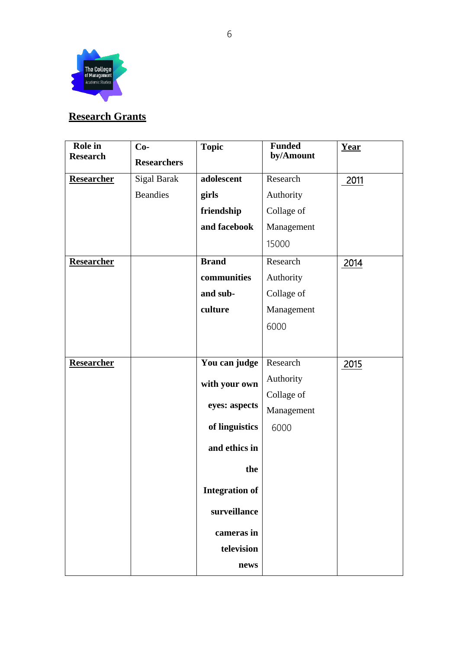

# **Research Grants**

| Role in           | $Co-$              | <b>Topic</b>          | <b>Funded</b> | Year |
|-------------------|--------------------|-----------------------|---------------|------|
| <b>Research</b>   | <b>Researchers</b> |                       | by/Amount     |      |
| Researcher        | <b>Sigal Barak</b> | adolescent            | Research      | 2011 |
|                   | <b>Beandies</b>    | girls                 | Authority     |      |
|                   |                    | friendship            | Collage of    |      |
|                   |                    | and facebook          | Management    |      |
|                   |                    |                       | 15000         |      |
| Researcher        |                    | <b>Brand</b>          | Research      | 2014 |
|                   |                    | communities           | Authority     |      |
|                   |                    | and sub-              | Collage of    |      |
|                   |                    | culture               | Management    |      |
|                   |                    |                       | 6000          |      |
|                   |                    |                       |               |      |
| <b>Researcher</b> |                    | You can judge         | Research      | 2015 |
|                   |                    | with your own         | Authority     |      |
|                   |                    |                       | Collage of    |      |
|                   |                    | eyes: aspects         | Management    |      |
|                   |                    | of linguistics        | 6000          |      |
|                   |                    | and ethics in         |               |      |
|                   |                    | the                   |               |      |
|                   |                    | <b>Integration of</b> |               |      |
|                   |                    | surveillance          |               |      |
|                   |                    | cameras in            |               |      |
|                   |                    | television            |               |      |
|                   |                    | news                  |               |      |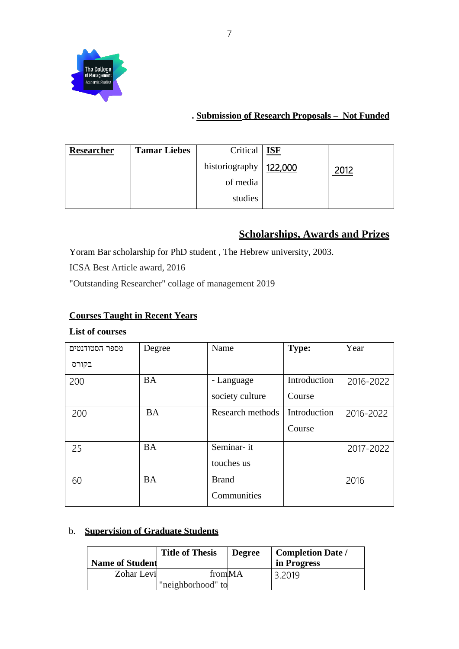

### **. Submission of Research Proposals – Not Funded**

| <b>Researcher</b> | <b>Tamar Liebes</b> | Critical   <b>ISF</b>    |      |
|-------------------|---------------------|--------------------------|------|
|                   |                     | historiography   122,000 | 2012 |
|                   |                     | of media                 |      |
|                   |                     | studies                  |      |

# **Scholarships, Awards and Prizes**

Yoram Bar scholarship for PhD student , The Hebrew university, 2003.

ICSA Best Article award, 2016

"Outstanding Researcher" collage of management 2019

### **Courses Taught in Recent Years**

### **List of courses**

| מספר הסטודנטים | Degree    | Name             | <b>Type:</b> | Year      |
|----------------|-----------|------------------|--------------|-----------|
| בקורס          |           |                  |              |           |
| 200            | <b>BA</b> | - Language       | Introduction | 2016-2022 |
|                |           | society culture  | Course       |           |
| 200            | <b>BA</b> | Research methods | Introduction | 2016-2022 |
|                |           |                  | Course       |           |
| 25             | <b>BA</b> | Seminar-it       |              | 2017-2022 |
|                |           | touches us       |              |           |
| 60             | <b>BA</b> | <b>Brand</b>     |              | 2016      |
|                |           | Communities      |              |           |

### b. **Supervision of Graduate Students**

| <b>Name of Student</b> | <b>Title of Thesis</b>      | <b>Degree</b> | <b>Completion Date /</b><br>in Progress |
|------------------------|-----------------------------|---------------|-----------------------------------------|
| Zohar Levi             | fromMA<br>"neighborhood" to |               | 3.2019                                  |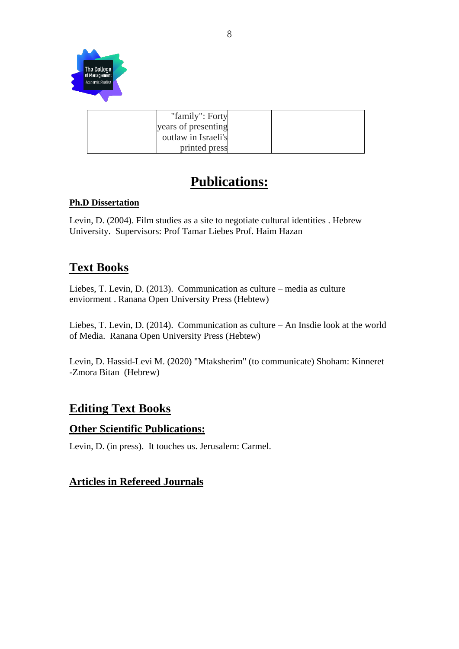

| "family": Forty     |  |
|---------------------|--|
| years of presenting |  |
| outlaw in Israeli's |  |
| printed press       |  |

# **Publications:**

### **Ph.D Dissertation**

Levin, D. (2004). Film studies as a site to negotiate cultural identities . Hebrew University. Supervisors: Prof Tamar Liebes Prof. Haim Hazan

# **Text Books**

Liebes, T. Levin, D. (2013). Communication as culture – media as culture enviorment . Ranana Open University Press (Hebtew)

Liebes, T. Levin, D. (2014). Communication as culture – An Insdie look at the world of Media. Ranana Open University Press (Hebtew)

Levin, D. Hassid-Levi M. (2020) "Mtaksherim" (to communicate) Shoham: Kinneret -Zmora Bitan (Hebrew)

# **Editing Text Books**

### **Other Scientific Publications:**

Levin, D. (in press). It touches us. Jerusalem: Carmel.

### **Articles in Refereed Journals**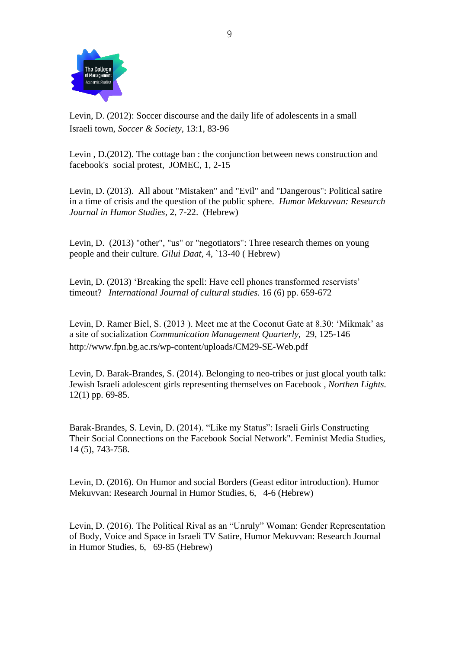

Levin, D. (2012): Soccer discourse and the daily life of adolescents in a small Israeli town*, Soccer & Society*, 13:1, 83-96

Levin , D.(2012). The cottage ban : the conjunction between news construction and facebook's social protest, JOMEC, 1, 2-15

Levin, D. (2013). All about "Mistaken" and "Evil" and "Dangerous": Political satire in a time of crisis and the question of the public sphere. *Humor Mekuvvan: Research Journal in Humor Studies,* 2, 7-22. (Hebrew)

Levin, D. (2013) "other", "us" or "negotiators": Three research themes on young people and their culture. *Gilui Daat,* 4, `13-40 ( Hebrew)

Levin, D. (2013) 'Breaking the spell: Have cell phones transformed reservists' timeout? *International Journal of cultural studies.* 16 (6) pp. 659-672

Levin, D. Ramer Biel, S. (2013 ). Meet me at the Coconut Gate at 8.30: 'Mikmak' as a site of socialization *Communication Management Quarterly*, 29, 125-146 http://www.fpn.bg.ac.rs/wp-content/uploads/CM29-SE-Web.pdf

Levin, D. Barak-Brandes, S. (2014). Belonging to neo-tribes or just glocal youth talk: Jewish Israeli adolescent girls representing themselves on Facebook *, Northen Lights.*  12(1) pp. 69-85.

Barak-Brandes, S. Levin, D. (2014). "Like my Status": Israeli Girls Constructing Their Social Connections on the Facebook Social Network". Feminist Media Studies, 14 (5), 743-758.

Levin, D. (2016). On Humor and social Borders (Geast editor introduction). Humor Mekuvvan: Research Journal in Humor Studies, 6, 4-6 (Hebrew)

Levin, D. (2016). The Political Rival as an "Unruly" Woman: Gender Representation of Body, Voice and Space in Israeli TV Satire, Humor Mekuvvan: Research Journal in Humor Studies, 6, 69-85 (Hebrew)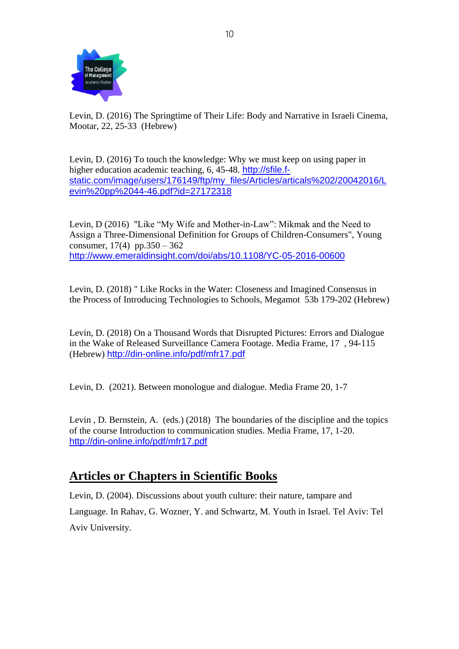

Levin, D. (2016) The Springtime of Their Life: Body and Narrative in Israeli Cinema, Mootar, 22, 25-33 (Hebrew)

Levin, D. (2016) To touch the knowledge: Why we must keep on using paper in higher education academic teaching, 6, 45-48. [http://sfile.f](http://sfile.f-static.com/image/users/176149/ftp/my_files/Articles/articals%202/20042016/Levin%20pp%2044-46.pdf?id=27172318)[static.com/image/users/176149/ftp/my\\_files/Articles/articals%202/20042016/L](http://sfile.f-static.com/image/users/176149/ftp/my_files/Articles/articals%202/20042016/Levin%20pp%2044-46.pdf?id=27172318) [evin%20pp%2044-46.pdf?id=27172318](http://sfile.f-static.com/image/users/176149/ftp/my_files/Articles/articals%202/20042016/Levin%20pp%2044-46.pdf?id=27172318)

Levin, D (2016) "Like "My Wife and Mother-in-Law": Mikmak and the Need to Assign a Three-Dimensional Definition for Groups of Children-Consumers", Young consumer,  $17(4)$  pp.350 – 362 <http://www.emeraldinsight.com/doi/abs/10.1108/YC-05-2016-00600>

Levin, D. (2018) " Like Rocks in the Water: Closeness and Imagined Consensus in the Process of Introducing Technologies to Schools, Megamot 53b 179-202 (Hebrew)

Levin, D. (2018) On a Thousand Words that Disrupted Pictures: Errors and Dialogue in the Wake of Released Surveillance Camera Footage. Media Frame, 17 , 94-115 (Hebrew) <http://din-online.info/pdf/mfr17.pdf>

Levin, D. (2021). Between monologue and dialogue. Media Frame 20, 1-7

Levin , D. Bernstein, A. (eds.) (2018) The boundaries of the discipline and the topics of the course Introduction to communication studies. Media Frame, 17, 1-20. <http://din-online.info/pdf/mfr17.pdf>

# **Articles or Chapters in Scientific Books**

Levin, D. (2004). Discussions about youth culture: their nature, tampare and Language. In Rahav, G. Wozner, Y. and Schwartz, M. Youth in Israel. Tel Aviv: Tel Aviv University.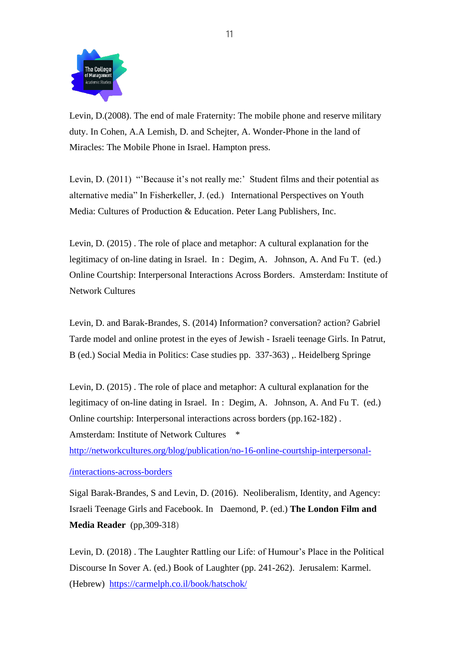

Levin, D.(2008). The end of male Fraternity: The mobile phone and reserve military duty. In Cohen, A.A Lemish, D. and Schejter, A. Wonder-Phone in the land of Miracles: The Mobile Phone in Israel. Hampton press.

Levin, D. (2011) "'Because it's not really me:' Student films and their potential as alternative media" In Fisherkeller, J. (ed.) International Perspectives on Youth Media: Cultures of Production & Education. Peter Lang Publishers, Inc.

Levin, D. (2015) . The role of place and metaphor: A cultural explanation for the legitimacy of on-line dating in Israel. In : Degim, A. Johnson, A. And Fu T. (ed.) Online Courtship: Interpersonal Interactions Across Borders. Amsterdam: Institute of Network Cultures

Levin, D. and Barak-Brandes, S. (2014) Information? conversation? action? Gabriel Tarde model and online protest in the eyes of Jewish - Israeli teenage Girls. In Patrut, B (ed.) Social Media in Politics: Case studies pp. 337-363) ,. Heidelberg Springe

Levin, D. (2015) . The role of place and metaphor: A cultural explanation for the legitimacy of on-line dating in Israel. In : Degim, A. Johnson, A. And Fu T. (ed.) Online courtship: Interpersonal interactions across borders (pp.162-182) . Amsterdam: Institute of Network Cultures

[http://networkcultures.org/blog/publication/no-16-online-courtship-interpersonal-](http://networkcultures.org/blog/publication/no-16-online-courtship-interpersonal-interactions-across-borders/)

#### **/**[interactions-across-borders](http://networkcultures.org/blog/publication/no-16-online-courtship-interpersonal-interactions-across-borders/)

Sigal Barak-Brandes, S and Levin, D. (2016). Neoliberalism, Identity, and Agency: Israeli Teenage Girls and Facebook. In Daemond, P. (ed.) **The London Film and Media Reader** (pp,309-318)

Levin, D. (2018) . The Laughter Rattling our Life: of Humour's Place in the Political Discourse In Sover A. (ed.) Book of Laughter (pp. 241-262). Jerusalem: Karmel. (Hebrew) <https://carmelph.co.il/book/hatschok/>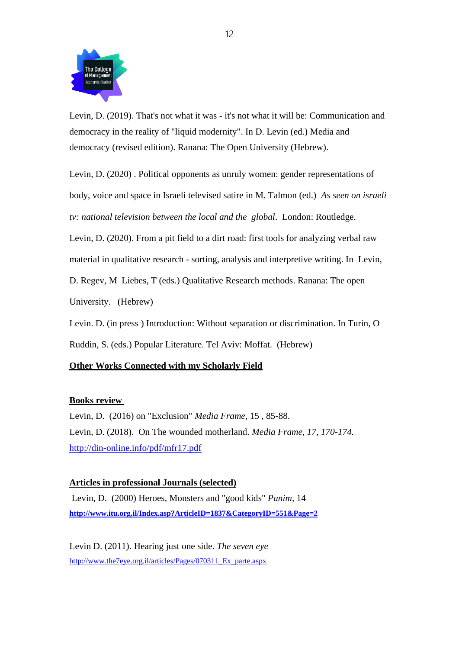

Levin, D. (2019). That's not what it was - it's not what it will be: Communication and democracy in the reality of "liquid modernity". In D. Levin (ed.) Media and democracy (revised edition). Ranana: The Open University (Hebrew).

Levin, D. (2020) . Political opponents as unruly women: gender representations of body, voice and space in Israeli televised satire in M. Talmon (ed.) *As seen on israeli tv: national television between the local and the global*. London: Routledge.

Levin, D. (2020). From a pit field to a dirt road: first tools for analyzing verbal raw material in qualitative research - sorting, analysis and interpretive writing. In Levin,

D. Regev, M Liebes, T (eds.) Qualitative Research methods. Ranana: The open

University. (Hebrew)

Levin. D. (in press ) Introduction: Without separation or discrimination. In Turin, O Ruddin, S. (eds.) Popular Literature. Tel Aviv: Moffat. (Hebrew)

### **Other Works Connected with my Scholarly Field**

### **Books review**

Levin, D. (2016) on "Exclusion" *Media Frame*, 15 , 85-88. Levin, D. (2018). On The wounded motherland. *Media Frame, 17, 170-174.*  <http://din-online.info/pdf/mfr17.pdf>

### **Articles in professional Journals (selected)**

Levin, D. (2000) Heroes, Monsters and "good kids" *Panim*, 14 **<http://www.itu.org.il/Index.asp?ArticleID=1837&CategoryID=551&Page=2>**

Levin D. (2011). Hearing just one side. *The seven eye* [http://www.the7eye.org.il/articles/Pages/070311\\_Ex\\_parte.aspx](http://www.the7eye.org.il/articles/Pages/070311_Ex_parte.aspx)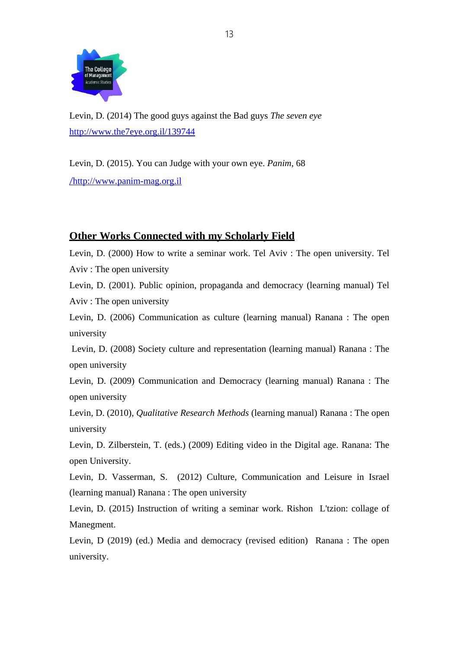

Levin, D. (2014) The good guys against the Bad guys *The seven eye* <http://www.the7eye.org.il/139744>

Levin, D. (2015). You can Judge with your own eye. *Panim*, 68 /[http://www.panim-mag.org.il](http://www.panim-mag.org.il/)

### **Other Works Connected with my Scholarly Field**

Levin, D. (2000) How to write a seminar work. Tel Aviv : The open university. Tel Aviv : The open university

Levin, D. (2001). Public opinion, propaganda and democracy (learning manual) Tel Aviv : The open university

Levin, D. (2006) Communication as culture (learning manual) Ranana : The open university

Levin, D. (2008) Society culture and representation (learning manual) Ranana : The open university

Levin, D. (2009) Communication and Democracy (learning manual) Ranana : The open university

Levin, D. (2010), *Qualitative Research Methods* (learning manual) Ranana : The open university

Levin, D. Zilberstein, T. (eds.) (2009) Editing video in the Digital age. Ranana: The open University.

Levin, D. Vasserman, S. (2012) Culture, Communication and Leisure in Israel (learning manual) Ranana : The open university

Levin, D. (2015) Instruction of writing a seminar work. Rishon L'tzion: collage of Manegment.

Levin, D (2019) (ed.) Media and democracy (revised edition) Ranana : The open university.